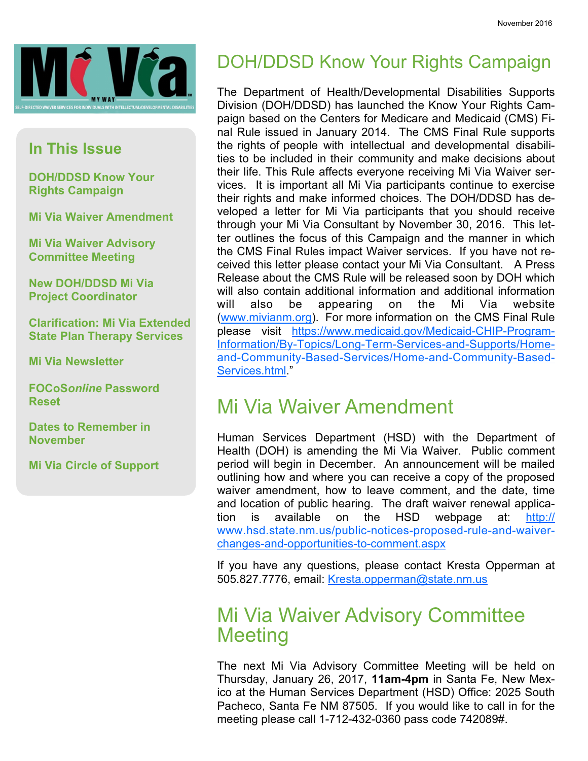

#### In This Issue

DOH/DDSD Know Your Rights Campaign

Mi Via Waiver Amendment

Mi Via Waiver Advisory Committee Meeting

New DOH/DDSD Mi Via Project Coordinator

Clarification: Mi Via Extended State Plan Therapy Services

Mi Via Newsletter

FOCoSonline Password Reset

Dates to Remember in **November** 

Mi Via Circle of Support

# DOH/DDSD Know Your Rights Campaign

The Department of Health/Developmental Disabilities Supports Division (DOH/DDSD) has launched the Know Your Rights Campaign based on the Centers for Medicare and Medicaid (CMS) Final Rule issued in January 2014. The CMS Final Rule supports the rights of people with intellectual and developmental disabilities to be included in their community and make decisions about their life. This Rule affects everyone receiving Mi Via Waiver services. It is important all Mi Via participants continue to exercise their rights and make informed choices. The DOH/DDSD has developed a letter for Mi Via participants that you should receive through your Mi Via Consultant by November 30, 2016. This letter outlines the focus of this Campaign and the manner in which the CMS Final Rules impact Waiver services. If you have not received this letter please contact your Mi Via Consultant. A Press Release about the CMS Rule will be released soon by DOH which will also contain additional information and additional information will also be appearing on the Mi Via website (www.mivianm.org). For more information on the CMS Final Rule please visit https://www.medicaid.gov/Medicaid-CHIP-Program-Information/By-Topics/Long-Term-Services-and-Supports/Homeand-Community-Based-Services/Home-and-Community-Based-Services.html."

## Mi Via Waiver Amendment

Human Services Department (HSD) with the Department of Health (DOH) is amending the Mi Via Waiver. Public comment period will begin in December. An announcement will be mailed outlining how and where you can receive a copy of the proposed waiver amendment, how to leave comment, and the date, time and location of public hearing. The draft waiver renewal application is available on the HSD webpage at: http:// www.hsd.state.nm.us/public-notices-proposed-rule-and-waiverchanges-and-opportunities-to-comment.aspx

If you have any questions, please contact Kresta Opperman at 505.827.7776, email: Kresta.opperman@state.nm.us

## Mi Via Waiver Advisory Committee **Meeting**

The next Mi Via Advisory Committee Meeting will be held on Thursday, January 26, 2017, 11am-4pm in Santa Fe, New Mexico at the Human Services Department (HSD) Office: 2025 South Pacheco, Santa Fe NM 87505. If you would like to call in for the meeting please call 1-712-432-0360 pass code 742089#.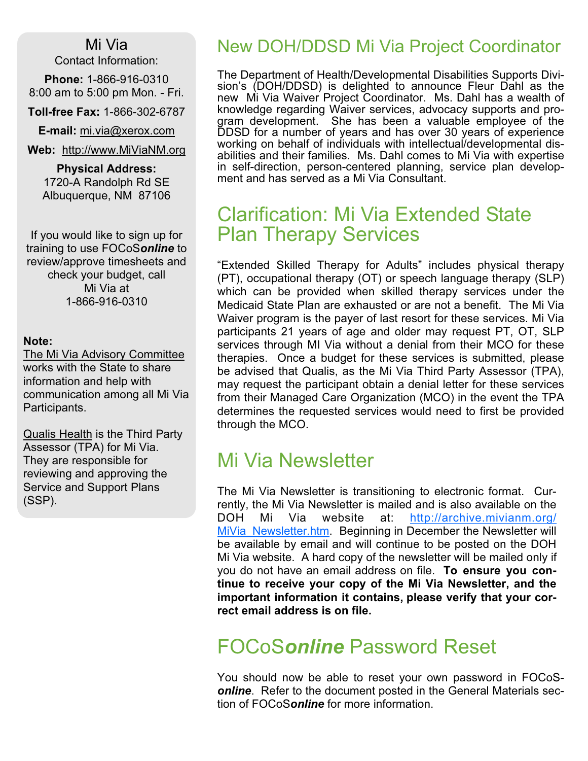#### Mi Via

Contact Information:

Phone: 1-866-916-0310 8:00 am to 5:00 pm Mon. - Fri.

Toll-free Fax: 1-866-302-6787

**E-mail:** mi.via@xerox.com

Web: http://www.MiViaNM.org

Physical Address: 1720-A Randolph Rd SE Albuquerque, NM 87106

If you would like to sign up for training to use FOCoSonline to review/approve timesheets and check your budget, call Mi Via at 1-866-916-0310

#### Note:

The Mi Via Advisory Committee works with the State to share information and help with communication among all Mi Via Participants.

Qualis Health is the Third Party Assessor (TPA) for Mi Via. They are responsible for reviewing and approving the Service and Support Plans (SSP).

#### New DOH/DDSD Mi Via Project Coordinator

The Department of Health/Developmental Disabilities Supports Division's (DOH/DDSD) is delighted to announce Fleur Dahl as the new Mi Via Waiver Project Coordinator. Ms. Dahl has a wealth of knowledge regarding Waiver services, advocacy supports and program development. She has been a valuable employee of the DDSD for a number of years and has over 30 years of experience working on behalf of individuals with intellectual/developmental disabilities and their families. Ms. Dahl comes to Mi Via with expertise in self-direction, person-centered planning, service plan development and has served as a Mi Via Consultant.

## Clarification: Mi Via Extended State Plan Therapy Services

"Extended Skilled Therapy for Adults" includes physical therapy (PT), occupational therapy (OT) or speech language therapy (SLP) which can be provided when skilled therapy services under the Medicaid State Plan are exhausted or are not a benefit. The Mi Via Waiver program is the payer of last resort for these services. Mi Via participants 21 years of age and older may request PT, OT, SLP services through MI Via without a denial from their MCO for these therapies. Once a budget for these services is submitted, please be advised that Qualis, as the Mi Via Third Party Assessor (TPA), may request the participant obtain a denial letter for these services from their Managed Care Organization (MCO) in the event the TPA determines the requested services would need to first be provided through the MCO.

# Mi Via Newsletter

The Mi Via Newsletter is transitioning to electronic format. Currently, the Mi Via Newsletter is mailed and is also available on the DOH Mi Via website at: http://archive.mivianm.org/ MiVia Newsletter.htm. Beginning in December the Newsletter will be available by email and will continue to be posted on the DOH Mi Via website. A hard copy of the newsletter will be mailed only if you do not have an email address on file. To ensure you continue to receive your copy of the Mi Via Newsletter, and the important information it contains, please verify that your correct email address is on file.

# FOCoSonline Password Reset

You should now be able to reset your own password in FOCoSonline. Refer to the document posted in the General Materials section of FOCoSonline for more information.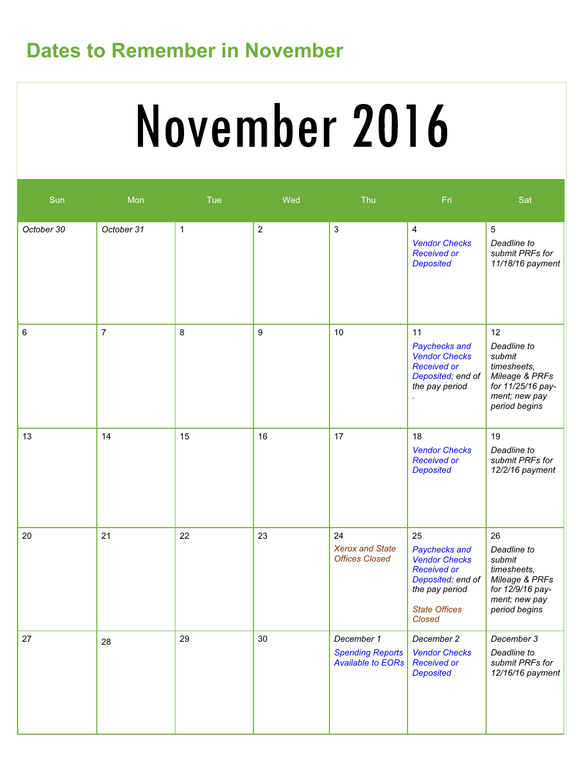# Dates to Remember in November

# November 2016

| Sun        | Mon            | Tue          | Wed              | Thu                                                               | Fri                                                                                                                                        | Sat                                                                                                                 |
|------------|----------------|--------------|------------------|-------------------------------------------------------------------|--------------------------------------------------------------------------------------------------------------------------------------------|---------------------------------------------------------------------------------------------------------------------|
| October 30 | October 31     | $\mathbf{1}$ | $\boldsymbol{2}$ | $\sqrt{3}$                                                        | 4<br><b>Vendor Checks</b><br><b>Received or</b><br><b>Deposited</b>                                                                        | $\overline{5}$<br>Deadline to<br>submit PRFs for<br>11/18/16 payment                                                |
| $\,6$      | $\overline{7}$ | 8            | $\boldsymbol{9}$ | 10                                                                | 11<br>Paychecks and<br><b>Vendor Checks</b><br><b>Received or</b><br>Deposited; end of<br>the pay period                                   | 12<br>Deadline to<br>submit<br>timesheets,<br>Mileage & PRFs<br>for 11/25/16 pay-<br>ment; new pay<br>period begins |
| 13         | 14             | 15           | 16               | 17                                                                | 18<br><b>Vendor Checks</b><br><b>Received or</b><br><b>Deposited</b>                                                                       | 19<br>Deadline to<br>submit PRFs for<br>12/2/16 payment                                                             |
| 20         | 21             | 22           | 23               | 24<br><b>Xerox and State</b><br><b>Offices Closed</b>             | 25<br>Paychecks and<br><b>Vendor Checks</b><br><b>Received or</b><br>Deposited; end of<br>the pay period<br><b>State Offices</b><br>Closed | 26<br>Deadline to<br>submit<br>timesheets,<br>Mileage & PRFs<br>for 12/9/16 pay-<br>ment; new pay<br>period begins  |
| 27         | 28             | 29           | 30               | December 1<br><b>Spending Reports</b><br><b>Available to EORs</b> | December 2<br><b>Vendor Checks</b><br><b>Received or</b><br><b>Deposited</b>                                                               | December 3<br>Deadline to<br>submit PRFs for<br>12/16/16 payment                                                    |